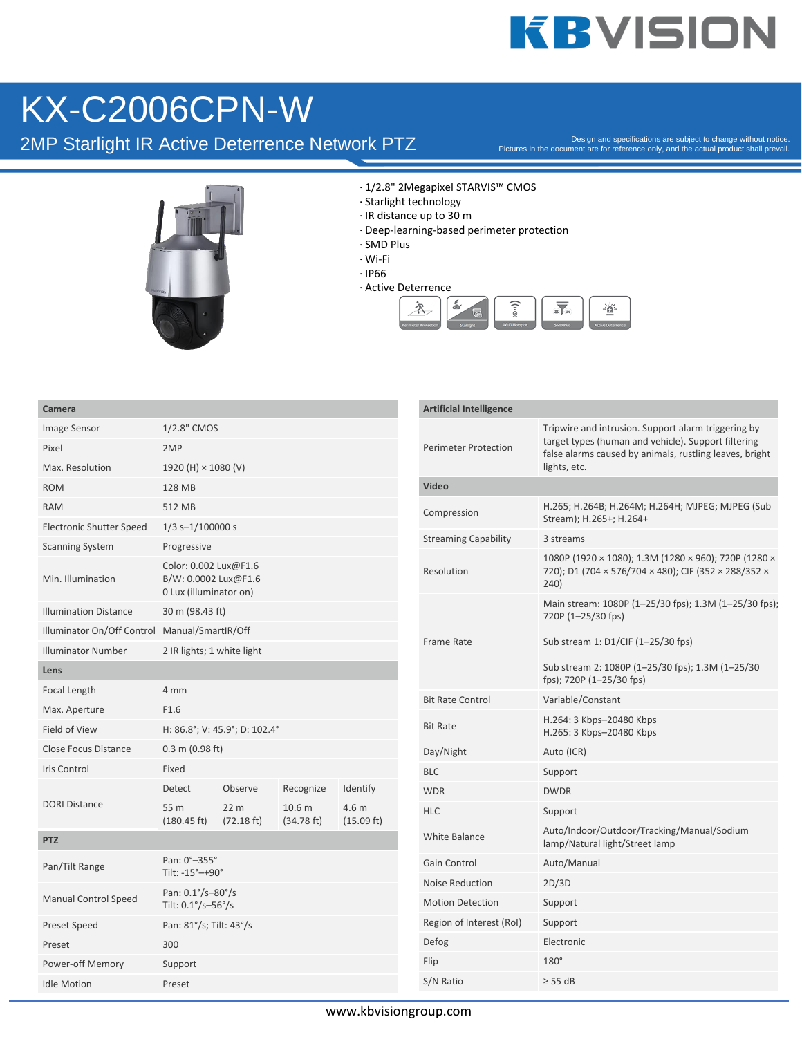## **KBVISION**

#### KX-C2006CPN-W

Camera

2MP Starlight IR Active Deterrence Network PTZ

Design and specifications are subject to change without notice. Pictures in the document are for reference only, and the actual product shall prevail.



· 1/2.8" 2Megapixel STARVIS™ CMOS

- · Starlight technology
- · IR distance up to 30 m
- · Deep-learning-based perimeter protection
- · SMD Plus
- · Wi-Fi
- · IP66
- · Active Deterrence



| Camera                                        |                                                                         |                                         |                      |                               |  |
|-----------------------------------------------|-------------------------------------------------------------------------|-----------------------------------------|----------------------|-------------------------------|--|
| Image Sensor                                  | 1/2.8" CMOS                                                             |                                         |                      |                               |  |
| Pixel                                         | 2MP                                                                     |                                         |                      |                               |  |
| Max. Resolution                               | 1920 (H) × 1080 (V)                                                     |                                         |                      |                               |  |
| <b>ROM</b>                                    | 128 MB                                                                  |                                         |                      |                               |  |
| <b>RAM</b>                                    | 512 MB                                                                  |                                         |                      |                               |  |
| <b>Electronic Shutter Speed</b>               | $1/3$ s- $1/100000$ s                                                   |                                         |                      |                               |  |
| <b>Scanning System</b>                        | Progressive                                                             |                                         |                      |                               |  |
| Min. Illumination                             | Color: 0.002 Lux@F1.6<br>B/W: 0.0002 Lux@F1.6<br>0 Lux (illuminator on) |                                         |                      |                               |  |
| <b>Illumination Distance</b>                  | 30 m (98.43 ft)                                                         |                                         |                      |                               |  |
| Illuminator On/Off Control Manual/SmartIR/Off |                                                                         |                                         |                      |                               |  |
| <b>Illuminator Number</b>                     | 2 IR lights; 1 white light                                              |                                         |                      |                               |  |
| Lens                                          |                                                                         |                                         |                      |                               |  |
| Focal Length                                  | 4 mm                                                                    |                                         |                      |                               |  |
| Max. Aperture                                 | F1.6                                                                    |                                         |                      |                               |  |
| <b>Field of View</b>                          | H: 86.8°; V: 45.9°; D: 102.4°                                           |                                         |                      |                               |  |
| <b>Close Focus Distance</b>                   | $0.3$ m (0.98 ft)                                                       |                                         |                      |                               |  |
| <b>Iris Control</b>                           | Fixed                                                                   |                                         |                      |                               |  |
| <b>DORI Distance</b>                          | <b>Detect</b>                                                           | Observe                                 | Recognize            | Identify                      |  |
|                                               | 55 m<br>$(180.45 \text{ ft})$                                           | 22 <sub>m</sub><br>$(72.18 \text{ ft})$ | 10.6 m<br>(34.78 ft) | 4.6 m<br>$(15.09 \text{ ft})$ |  |
| <b>PTZ</b>                                    |                                                                         |                                         |                      |                               |  |
| Pan/Tilt Range                                | Pan: 0°-355°<br>Tilt: -15°-+90°                                         |                                         |                      |                               |  |
| Manual Control Speed                          | Pan: 0.1°/s-80°/s<br>Tilt: $0.1^{\circ}/s - 56^{\circ}/s$               |                                         |                      |                               |  |
| <b>Preset Speed</b>                           | Pan: 81°/s; Tilt: 43°/s                                                 |                                         |                      |                               |  |
| Preset                                        | 300                                                                     |                                         |                      |                               |  |
| Power-off Memory                              | Support                                                                 |                                         |                      |                               |  |
| <b>Idle Motion</b>                            | Preset                                                                  |                                         |                      |                               |  |

| <b>Artificial Intelligence</b> |                                                                                                                                                                                       |
|--------------------------------|---------------------------------------------------------------------------------------------------------------------------------------------------------------------------------------|
| Perimeter Protection           | Tripwire and intrusion. Support alarm triggering by<br>target types (human and vehicle). Support filtering<br>false alarms caused by animals, rustling leaves, bright<br>lights, etc. |
| Video                          |                                                                                                                                                                                       |
| Compression                    | H.265; H.264B; H.264M; H.264H; MJPEG; MJPEG (Sub<br>Stream); H.265+; H.264+                                                                                                           |
| <b>Streaming Capability</b>    | 3 streams                                                                                                                                                                             |
| Resolution                     | 1080P (1920 × 1080); 1.3M (1280 × 960); 720P (1280 ×<br>720); D1 (704 × 576/704 × 480); CIF (352 × 288/352 ×<br>240)                                                                  |
|                                | Main stream: 1080P (1-25/30 fps); 1.3M (1-25/30 fps);<br>720P (1-25/30 fps)                                                                                                           |
| Frame Rate                     | Sub stream 1: D1/CIF (1-25/30 fps)                                                                                                                                                    |
|                                | Sub stream 2: 1080P (1-25/30 fps); 1.3M (1-25/30<br>fps); 720P (1-25/30 fps)                                                                                                          |
| <b>Bit Rate Control</b>        | Variable/Constant                                                                                                                                                                     |
| <b>Bit Rate</b>                | H.264: 3 Kbps-20480 Kbps<br>H.265: 3 Kbps-20480 Kbps                                                                                                                                  |
| Day/Night                      | Auto (ICR)                                                                                                                                                                            |
| BLC                            | Support                                                                                                                                                                               |
| <b>WDR</b>                     | <b>DWDR</b>                                                                                                                                                                           |
| HLC                            | Support                                                                                                                                                                               |
| <b>White Balance</b>           | Auto/Indoor/Outdoor/Tracking/Manual/Sodium<br>lamp/Natural light/Street lamp                                                                                                          |
| Gain Control                   | Auto/Manual                                                                                                                                                                           |
| Noise Reduction                | 2D/3D                                                                                                                                                                                 |
| <b>Motion Detection</b>        | Support                                                                                                                                                                               |
| Region of Interest (RoI)       | Support                                                                                                                                                                               |
| Defog                          | Electronic                                                                                                                                                                            |
| Flip                           | $180^\circ$                                                                                                                                                                           |
| S/N Ratio                      | $\geq$ 55 dB                                                                                                                                                                          |